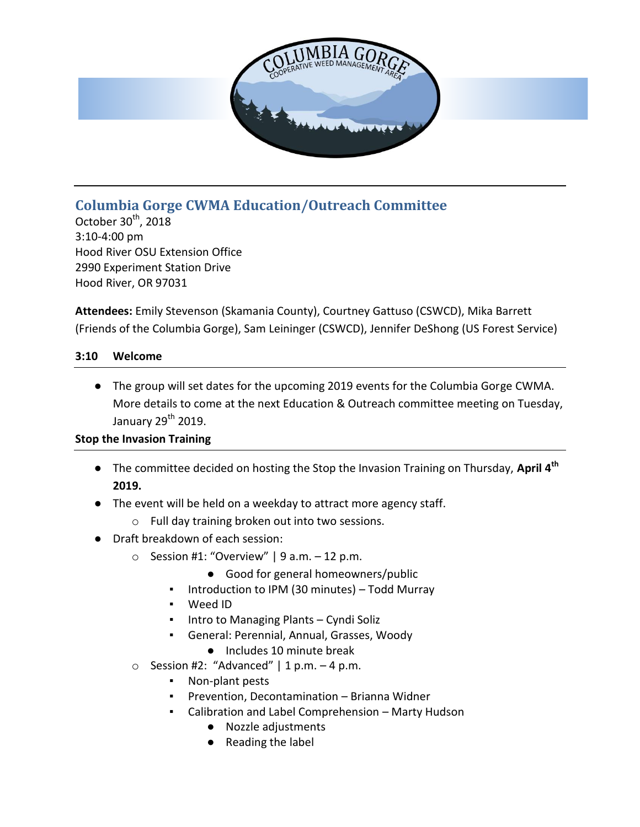

# **Columbia Gorge CWMA Education/Outreach Committee**

October  $30<sup>th</sup>$ , 2018 3:10-4:00 pm Hood River OSU Extension Office 2990 Experiment Station Drive Hood River, OR 97031

**Attendees:** Emily Stevenson (Skamania County), Courtney Gattuso (CSWCD), Mika Barrett (Friends of the Columbia Gorge), Sam Leininger (CSWCD), Jennifer DeShong (US Forest Service)

#### **3:10 Welcome**

● The group will set dates for the upcoming 2019 events for the Columbia Gorge CWMA. More details to come at the next Education & Outreach committee meeting on Tuesday, January  $29<sup>th</sup>$  2019.

### **Stop the Invasion Training**

- The committee decided on hosting the Stop the Invasion Training on Thursday, **April 4th 2019.**
- The event will be held on a weekday to attract more agency staff.
	- o Full day training broken out into two sessions.
- Draft breakdown of each session:
	- $\circ$  Session #1: "Overview" | 9 a.m. 12 p.m.
		- Good for general homeowners/public
		- Introduction to IPM (30 minutes) Todd Murray
		- Weed ID
		- Intro to Managing Plants Cyndi Soliz
		- General: Perennial, Annual, Grasses, Woody
			- Includes 10 minute break
	- $\circ$  Session #2: "Advanced" | 1 p.m. 4 p.m.
		- Non-plant pests
		- Prevention, Decontamination Brianna Widner
		- Calibration and Label Comprehension Marty Hudson
			- Nozzle adjustments
			- Reading the label